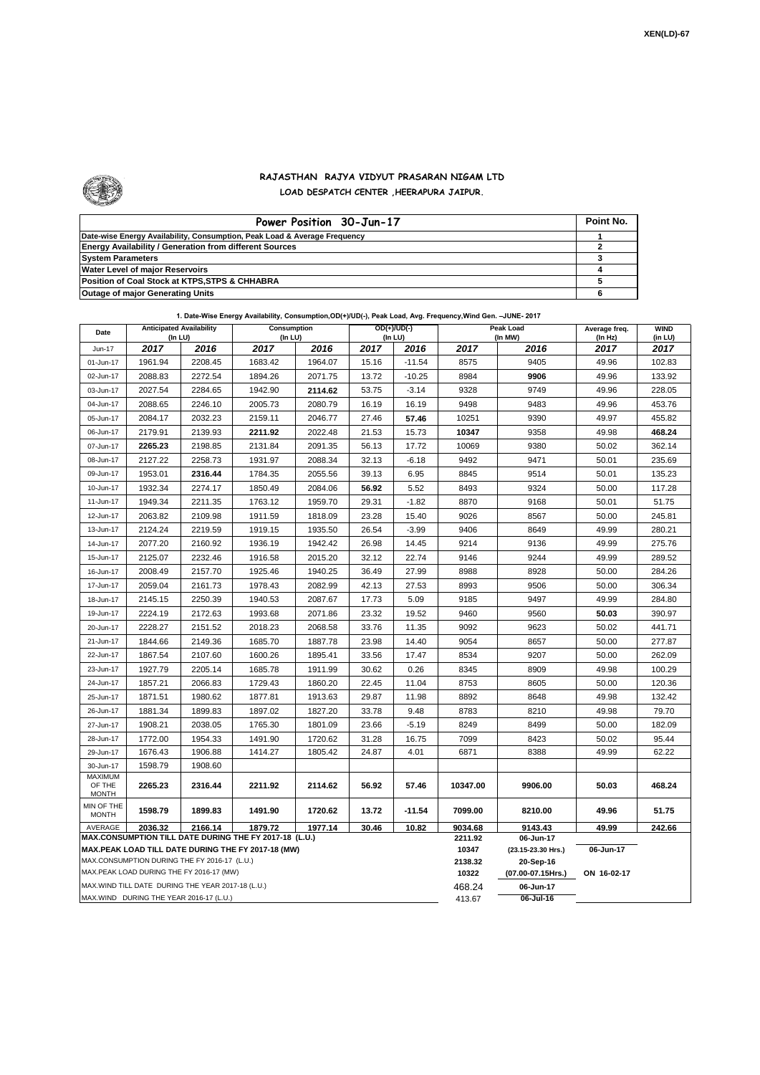

## **RAJASTHAN RAJYA VIDYUT PRASARAN NIGAM LTD**

**LOAD DESPATCH CENTER ,HEERAPURA JAIPUR.**

| Power Position 30-Jun-17                                                  | Point No. |
|---------------------------------------------------------------------------|-----------|
| Date-wise Energy Availability, Consumption, Peak Load & Average Frequency |           |
| <b>Energy Availability / Generation from different Sources</b>            |           |
| <b>System Parameters</b>                                                  |           |
| <b>Water Level of major Reservoirs</b>                                    |           |
| Position of Coal Stock at KTPS, STPS & CHHABRA                            |           |
| <b>Outage of major Generating Units</b>                                   |           |

## **1. Date-Wise Energy Availability, Consumption,OD(+)/UD(-), Peak Load, Avg. Frequency,Wind Gen. –JUNE- 2017**

| Date                                                                                                         | <b>Anticipated Availability</b><br>(In LU)         |         |         | OD(+)/UD(-)<br>Consumption<br>(In LU)<br>(In LU) |       |          |                 | Peak Load<br>(In MW)            | Average freq.<br>(In Hz) | <b>WIND</b><br>(in LU) |
|--------------------------------------------------------------------------------------------------------------|----------------------------------------------------|---------|---------|--------------------------------------------------|-------|----------|-----------------|---------------------------------|--------------------------|------------------------|
| Jun-17                                                                                                       | 2017                                               | 2016    | 2017    | 2016                                             | 2017  | 2016     | 2017            | 2016                            | 2017                     | 2017                   |
| 01-Jun-17                                                                                                    | 1961.94                                            | 2208.45 | 1683.42 | 1964.07                                          | 15.16 | $-11.54$ | 8575            | 9405                            | 49.96                    | 102.83                 |
| 02-Jun-17                                                                                                    | 2088.83                                            | 2272.54 | 1894.26 | 2071.75                                          | 13.72 | $-10.25$ | 8984            | 9906                            | 49.96                    | 133.92                 |
| 03-Jun-17                                                                                                    | 2027.54                                            | 2284.65 | 1942.90 | 2114.62                                          | 53.75 | $-3.14$  | 9328            | 9749                            | 49.96                    | 228.05                 |
| 04-Jun-17                                                                                                    | 2088.65                                            | 2246.10 | 2005.73 | 2080.79                                          | 16.19 | 16.19    | 9498            | 9483                            | 49.96                    | 453.76                 |
| 05-Jun-17                                                                                                    | 2084.17                                            | 2032.23 | 2159.11 | 2046.77                                          | 27.46 | 57.46    | 10251           | 9390                            | 49.97                    | 455.82                 |
| 06-Jun-17                                                                                                    | 2179.91                                            | 2139.93 | 2211.92 | 2022.48                                          | 21.53 | 15.73    | 10347           | 9358                            | 49.98                    | 468.24                 |
| 07-Jun-17                                                                                                    | 2265.23                                            | 2198.85 | 2131.84 | 2091.35                                          | 56.13 | 17.72    | 10069           | 9380                            | 50.02                    | 362.14                 |
| 08-Jun-17                                                                                                    | 2127.22                                            | 2258.73 | 1931.97 | 2088.34                                          | 32.13 | $-6.18$  | 9492            | 9471                            | 50.01                    | 235.69                 |
| 09-Jun-17                                                                                                    | 1953.01                                            | 2316.44 | 1784.35 | 2055.56                                          | 39.13 | 6.95     | 8845            | 9514                            | 50.01                    | 135.23                 |
| 10-Jun-17                                                                                                    | 1932.34                                            | 2274.17 | 1850.49 | 2084.06                                          | 56.92 | 5.52     | 8493            | 9324                            | 50.00                    | 117.28                 |
| 11-Jun-17                                                                                                    | 1949.34                                            | 2211.35 | 1763.12 | 1959.70                                          | 29.31 | $-1.82$  | 8870            | 9168                            | 50.01                    | 51.75                  |
| 12-Jun-17                                                                                                    | 2063.82                                            | 2109.98 | 1911.59 | 1818.09                                          | 23.28 | 15.40    | 9026            | 8567                            | 50.00                    | 245.81                 |
| 13-Jun-17                                                                                                    | 2124.24                                            | 2219.59 | 1919.15 | 1935.50                                          | 26.54 | $-3.99$  | 9406            | 8649                            | 49.99                    | 280.21                 |
| 14-Jun-17                                                                                                    | 2077.20                                            | 2160.92 | 1936.19 | 1942.42                                          | 26.98 | 14.45    | 9214            | 9136                            | 49.99                    | 275.76                 |
| 15-Jun-17                                                                                                    | 2125.07                                            | 2232.46 | 1916.58 | 2015.20                                          | 32.12 | 22.74    | 9146            | 9244                            | 49.99                    | 289.52                 |
| 16-Jun-17                                                                                                    | 2008.49                                            | 2157.70 | 1925.46 | 1940.25                                          | 36.49 | 27.99    | 8988            | 8928                            | 50.00                    | 284.26                 |
| 17-Jun-17                                                                                                    | 2059.04                                            | 2161.73 | 1978.43 | 2082.99                                          | 42.13 | 27.53    | 8993            | 9506                            | 50.00                    | 306.34                 |
| 18-Jun-17                                                                                                    | 2145.15                                            | 2250.39 | 1940.53 | 2087.67                                          | 17.73 | 5.09     | 9185            | 9497                            | 49.99                    | 284.80                 |
| 19-Jun-17                                                                                                    | 2224.19                                            | 2172.63 | 1993.68 | 2071.86                                          | 23.32 | 19.52    | 9460            | 9560                            | 50.03                    | 390.97                 |
| 20-Jun-17                                                                                                    | 2228.27                                            | 2151.52 | 2018.23 | 2068.58                                          | 33.76 | 11.35    | 9092            | 9623                            | 50.02                    | 441.71                 |
| 21-Jun-17                                                                                                    | 1844.66                                            | 2149.36 | 1685.70 | 1887.78                                          | 23.98 | 14.40    | 9054            | 8657                            | 50.00                    | 277.87                 |
| 22-Jun-17                                                                                                    | 1867.54                                            | 2107.60 | 1600.26 | 1895.41                                          | 33.56 | 17.47    | 8534            | 9207                            | 50.00                    | 262.09                 |
| 23-Jun-17                                                                                                    | 1927.79                                            | 2205.14 | 1685.78 | 1911.99                                          | 30.62 | 0.26     | 8345            | 8909                            | 49.98                    | 100.29                 |
| 24-Jun-17                                                                                                    | 1857.21                                            | 2066.83 | 1729.43 | 1860.20                                          | 22.45 | 11.04    | 8753            | 8605                            | 50.00                    | 120.36                 |
| 25-Jun-17                                                                                                    | 1871.51                                            | 1980.62 | 1877.81 | 1913.63                                          | 29.87 | 11.98    | 8892            | 8648                            | 49.98                    | 132.42                 |
| 26-Jun-17                                                                                                    | 1881.34                                            | 1899.83 | 1897.02 | 1827.20                                          | 33.78 | 9.48     | 8783            | 8210                            | 49.98                    | 79.70                  |
| 27-Jun-17                                                                                                    | 1908.21                                            | 2038.05 | 1765.30 | 1801.09                                          | 23.66 | $-5.19$  | 8249            | 8499                            | 50.00                    | 182.09                 |
| 28-Jun-17                                                                                                    | 1772.00                                            | 1954.33 | 1491.90 | 1720.62                                          | 31.28 | 16.75    | 7099            | 8423                            | 50.02                    | 95.44                  |
| 29-Jun-17                                                                                                    | 1676.43                                            | 1906.88 | 1414.27 | 1805.42                                          | 24.87 | 4.01     | 6871            | 8388                            | 49.99                    | 62.22                  |
| 30-Jun-17                                                                                                    | 1598.79                                            | 1908.60 |         |                                                  |       |          |                 |                                 |                          |                        |
| <b>MAXIMUM</b><br>OF THE<br><b>MONTH</b>                                                                     | 2265.23                                            | 2316.44 | 2211.92 | 2114.62                                          | 56.92 | 57.46    | 10347.00        | 9906.00                         | 50.03                    | 468.24                 |
| MIN OF THE<br><b>MONTH</b>                                                                                   | 1598.79                                            | 1899.83 | 1491.90 | 1720.62                                          | 13.72 | $-11.54$ | 7099.00         | 8210.00                         | 49.96                    | 51.75                  |
| 1879.72<br>1977.14<br>30.46<br>AVERAGE<br>2036.32<br>2166.14<br>10.82                                        |                                                    |         |         |                                                  |       |          |                 | 9143.43                         | 49.99                    | 242.66                 |
| MAX.CONSUMPTION TILL DATE DURING THE FY 2017-18 (L.U.)<br>MAX.PEAK LOAD TILL DATE DURING THE FY 2017-18 (MW) |                                                    |         |         |                                                  |       |          |                 | 06-Jun-17                       |                          |                        |
| MAX.CONSUMPTION DURING THE FY 2016-17 (L.U.)                                                                 |                                                    |         |         |                                                  |       |          |                 | (23.15-23.30 Hrs.)<br>20-Sep-16 | 06-Jun-17                |                        |
| MAX.PEAK LOAD DURING THE FY 2016-17 (MW)                                                                     |                                                    |         |         |                                                  |       |          |                 | (07.00-07.15Hrs.)               | ON 16-02-17              |                        |
|                                                                                                              | MAX. WIND TILL DATE DURING THE YEAR 2017-18 (L.U.) |         |         |                                                  |       |          | 10322<br>468.24 | 06-Jun-17                       |                          |                        |
| MAX.WIND DURING THE YEAR 2016-17 (L.U.)                                                                      |                                                    |         |         |                                                  |       |          |                 | 06-Jul-16                       |                          |                        |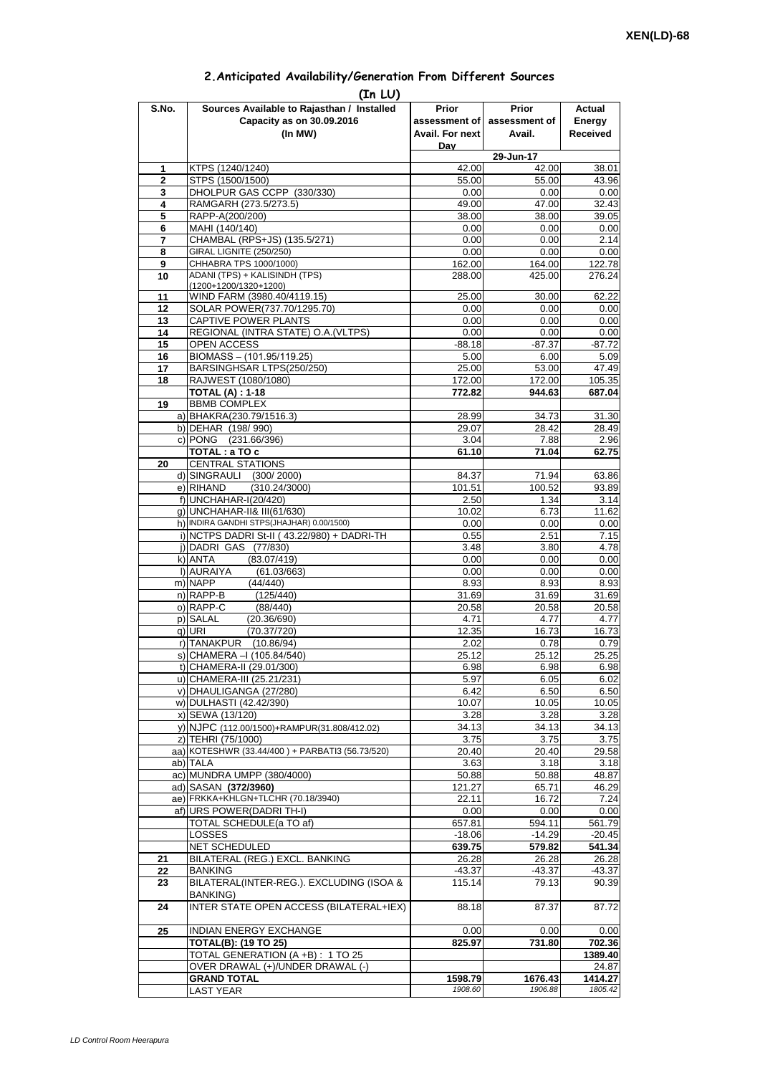| S.No.             | Sources Available to Rajasthan / Installed                 | Prior            | <b>Prior</b>   | Actual           |
|-------------------|------------------------------------------------------------|------------------|----------------|------------------|
|                   | Capacity as on 30.09.2016                                  | assessment of    | assessment of  | Energy           |
|                   | (In MW)                                                    | Avail. For next  | Avail.         | <b>Received</b>  |
|                   |                                                            | Dav              |                |                  |
|                   |                                                            |                  | 29-Jun-17      |                  |
| 1<br>$\mathbf{2}$ | KTPS (1240/1240)<br>STPS (1500/1500)                       | 42.00<br>55.00   | 42.00<br>55.00 | 38.01<br>43.96   |
| 3                 | DHOLPUR GAS CCPP (330/330)                                 | 0.00             | 0.00           | 0.00             |
| 4                 | RAMGARH (273.5/273.5)                                      | 49.00            | 47.00          | 32.43            |
| 5                 | RAPP-A(200/200)                                            | 38.00            | 38.00          | 39.05            |
| 6                 | MAHI (140/140)                                             | 0.00             | 0.00           | 0.00             |
| 7                 | CHAMBAL (RPS+JS) (135.5/271)                               | 0.00             | 0.00           | 2.14             |
| 8                 | GIRAL LIGNITE (250/250)<br>CHHABRA TPS 1000/1000)          | 0.00             | 0.00           | 0.00             |
| 9<br>10           | ADANI (TPS) + KALISINDH (TPS)                              | 162.00<br>288.00 | 164.00         | 122.78<br>276.24 |
|                   | (1200+1200/1320+1200)                                      |                  | 425.00         |                  |
| 11                | WIND FARM (3980.40/4119.15)                                | 25.00            | 30.00          | 62.22            |
| 12                | SOLAR POWER(737.70/1295.70)                                | 0.00             | 0.00           | 0.00             |
| 13                | CAPTIVE POWER PLANTS                                       | 0.00             | 0.00           | 0.00             |
| 14                | REGIONAL (INTRA STATE) O.A. (VLTPS)                        | 0.00             | 0.00           | 0.00             |
| 15                | OPEN ACCESS                                                | $-88.18$         | $-87.37$       | $-87.72$         |
| 16<br>17          | BIOMASS - (101.95/119.25)<br>BARSINGHSAR LTPS(250/250)     | 5.00<br>25.00    | 6.00<br>53.00  | 5.09<br>47.49    |
| 18                | RAJWEST (1080/1080)                                        | 172.00           | 172.00         | 105.35           |
|                   | <b>TOTAL (A): 1-18</b>                                     | 772.82           | 944.63         | 687.04           |
| 19                | <b>BBMB COMPLEX</b>                                        |                  |                |                  |
|                   | a) BHAKRA(230.79/1516.3)                                   | 28.99            | 34.73          | 31.30            |
|                   | b) DEHAR (198/990)                                         | 29.07            | 28.42          | 28.49            |
|                   | c) PONG (231.66/396)                                       | 3.04             | 7.88           | 2.96             |
| 20                | TOTAL: a TO c<br><b>CENTRAL STATIONS</b>                   | 61.10            | 71.04          | 62.75            |
|                   | d) SINGRAULI (300/2000)                                    | 84.37            | 71.94          | 63.86            |
|                   | e) RIHAND<br>(310.24/3000)                                 | 101.51           | 100.52         | 93.89            |
|                   | f) UNCHAHAR-I(20/420)                                      | 2.50             | 1.34           | 3.14             |
|                   | g) UNCHAHAR-II& III(61/630)                                | 10.02            | 6.73           | 11.62            |
|                   | h) INDIRA GANDHI STPS(JHAJHAR) 0.00/1500)                  | 0.00             | 0.00           | 0.00             |
|                   | i) NCTPS DADRI St-II (43.22/980) + DADRI-TH                | 0.55             | 2.51           | 7.15             |
|                   | j) DADRI GAS (77/830)                                      | 3.48             | 3.80           | 4.78             |
|                   | k) ANTA<br>(83.07/419)<br>I) AURAIYA                       | 0.00<br>0.00     | 0.00<br>0.00   | 0.00<br>0.00     |
|                   | (61.03/663)<br>m) NAPP<br>(44/440)                         | 8.93             | 8.93           | 8.93             |
|                   | n) RAPP-B<br>(125/440)                                     | 31.69            | 31.69          | 31.69            |
|                   | o) RAPP-C<br>(88/440)                                      | 20.58            | 20.58          | 20.58            |
|                   | (20.36/690)<br>p) SALAL                                    | 4.71             | 4.77           | 4.77             |
|                   | g) URI<br>(70.37/720)                                      | 12.35            | 16.73          | 16.73            |
|                   | r) TANAKPUR (10.86/94)                                     | 2.02             | 0.78           | 0.79             |
|                   | s) CHAMERA - (105.84/540)                                  | 25.12            | 25.12          | 25.25            |
|                   | t) CHAMERA-II (29.01/300)<br>u) CHAMERA-III (25.21/231)    | 6.98<br>5.97     | 6.98           | 6.98<br>6.02     |
|                   | v) DHAULIGANGA (27/280)                                    | 6.42             | 6.05<br>6.50   | 6.50             |
|                   | w) DULHASTI (42.42/390)                                    | 10.07            | 10.05          | 10.05            |
|                   | x) SEWA (13/120)                                           | 3.28             | 3.28           | 3.28             |
|                   | y) NJPC (112.00/1500)+RAMPUR(31.808/412.02)                | 34.13            | 34.13          | 34.13            |
|                   | z) TEHRI (75/1000)                                         | 3.75             | 3.75           | 3.75             |
|                   | aa) KOTESHWR (33.44/400) + PARBATI3 (56.73/520)            | 20.40            | 20.40          | 29.58            |
|                   | ab) TALA                                                   | 3.63             | 3.18           | 3.18             |
|                   | ac) MUNDRA UMPP (380/4000)<br>ad) SASAN (372/3960)         | 50.88<br>121.27  | 50.88<br>65.71 | 48.87            |
|                   | ae) FRKKA+KHLGN+TLCHR (70.18/3940)                         | 22.11            | 16.72          | 46.29<br>7.24    |
|                   | af) URS POWER(DADRI TH-I)                                  | 0.00             | 0.00           | 0.00             |
|                   | TOTAL SCHEDULE(a TO af)                                    | 657.81           | 594.11         | 561.79           |
|                   | LOSSES                                                     | $-18.06$         | $-14.29$       | $-20.45$         |
|                   | NET SCHEDULED                                              | 639.75           | 579.82         | 541.34           |
| 21                | BILATERAL (REG.) EXCL. BANKING                             | 26.28            | 26.28          | 26.28            |
| 22                | <b>BANKING</b>                                             | $-43.37$         | -43.37         | -43.37           |
| 23                | BILATERAL(INTER-REG.). EXCLUDING (ISOA &                   | 115.14           | 79.13          | 90.39            |
| 24                | <b>BANKING)</b><br>INTER STATE OPEN ACCESS (BILATERAL+IEX) | 88.18            | 87.37          | 87.72            |
|                   |                                                            |                  |                |                  |
| 25                | INDIAN ENERGY EXCHANGE                                     | 0.00             | 0.00           | 0.00             |
|                   | <b>TOTAL(B): (19 TO 25)</b>                                | 825.97           | 731.80         | 702.36           |
|                   | TOTAL GENERATION (A +B) : 1 TO 25                          |                  |                | 1389.40          |
|                   | OVER DRAWAL (+)/UNDER DRAWAL (-)                           |                  |                | 24.87            |
|                   | <b>GRAND TOTAL</b>                                         | 1598.79          | 1676.43        | 1414.27          |
|                   | <b>LAST YEAR</b>                                           | 1908.60          | 1906.88        | 1805.42          |